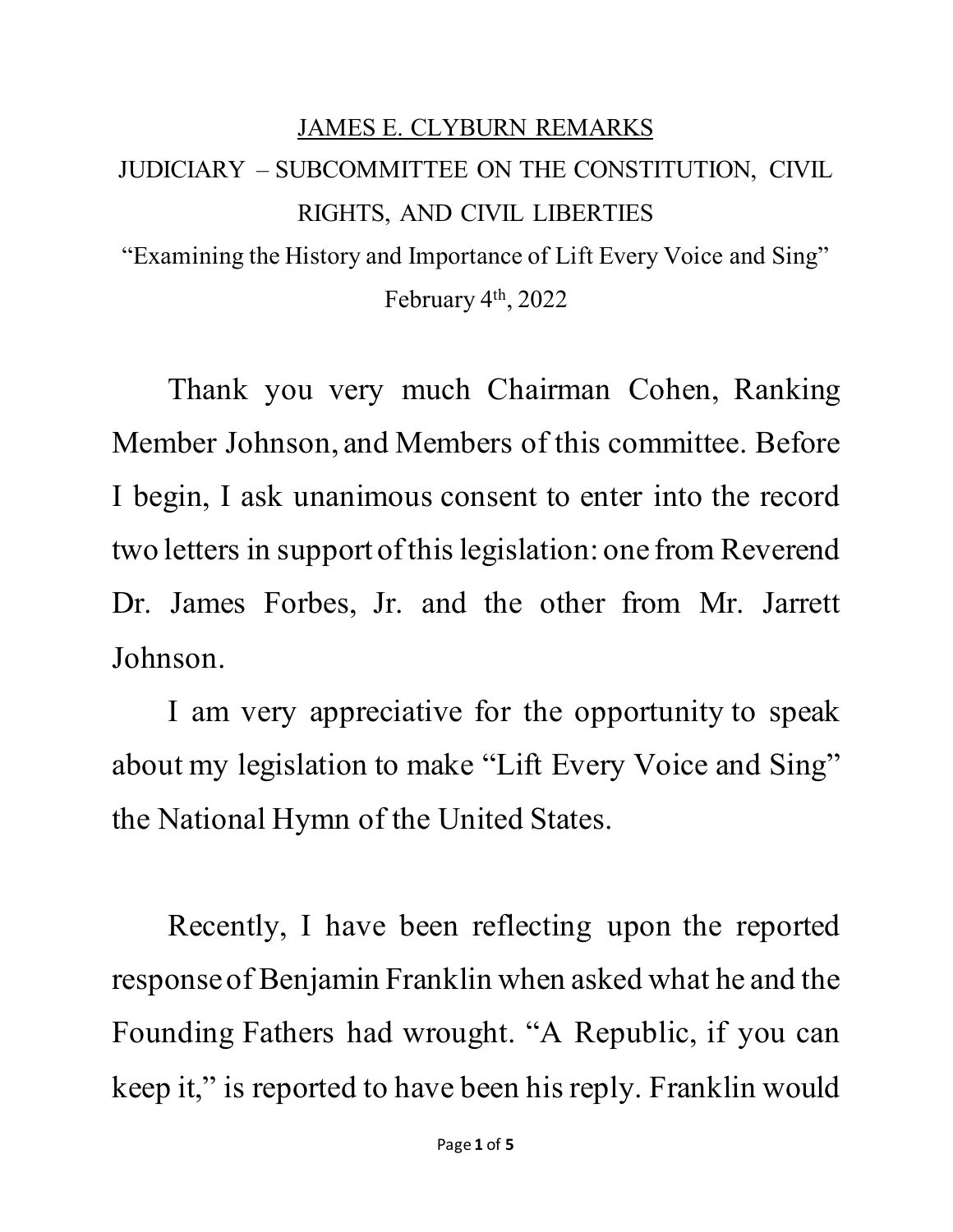## JAMES E. CLYBURN REMARKS JUDICIARY – SUBCOMMITTEE ON THE CONSTITUTION, CIVIL RIGHTS, AND CIVIL LIBERTIES "Examining the History and Importance of Lift Every Voice and Sing" February 4th, 2022

Thank you very much Chairman Cohen, Ranking Member Johnson, and Members of this committee. Before I begin, I ask unanimous consent to enter into the record two letters in supportof this legislation: one from Reverend Dr. James Forbes, Jr. and the other from Mr. Jarrett Johnson.

I am very appreciative for the opportunity to speak about my legislation to make "Lift Every Voice and Sing" the National Hymn of the United States.

Recently, I have been reflecting upon the reported response of Benjamin Franklin when asked what he and the Founding Fathers had wrought. "A Republic, if you can keep it," is reported to have been his reply. Franklin would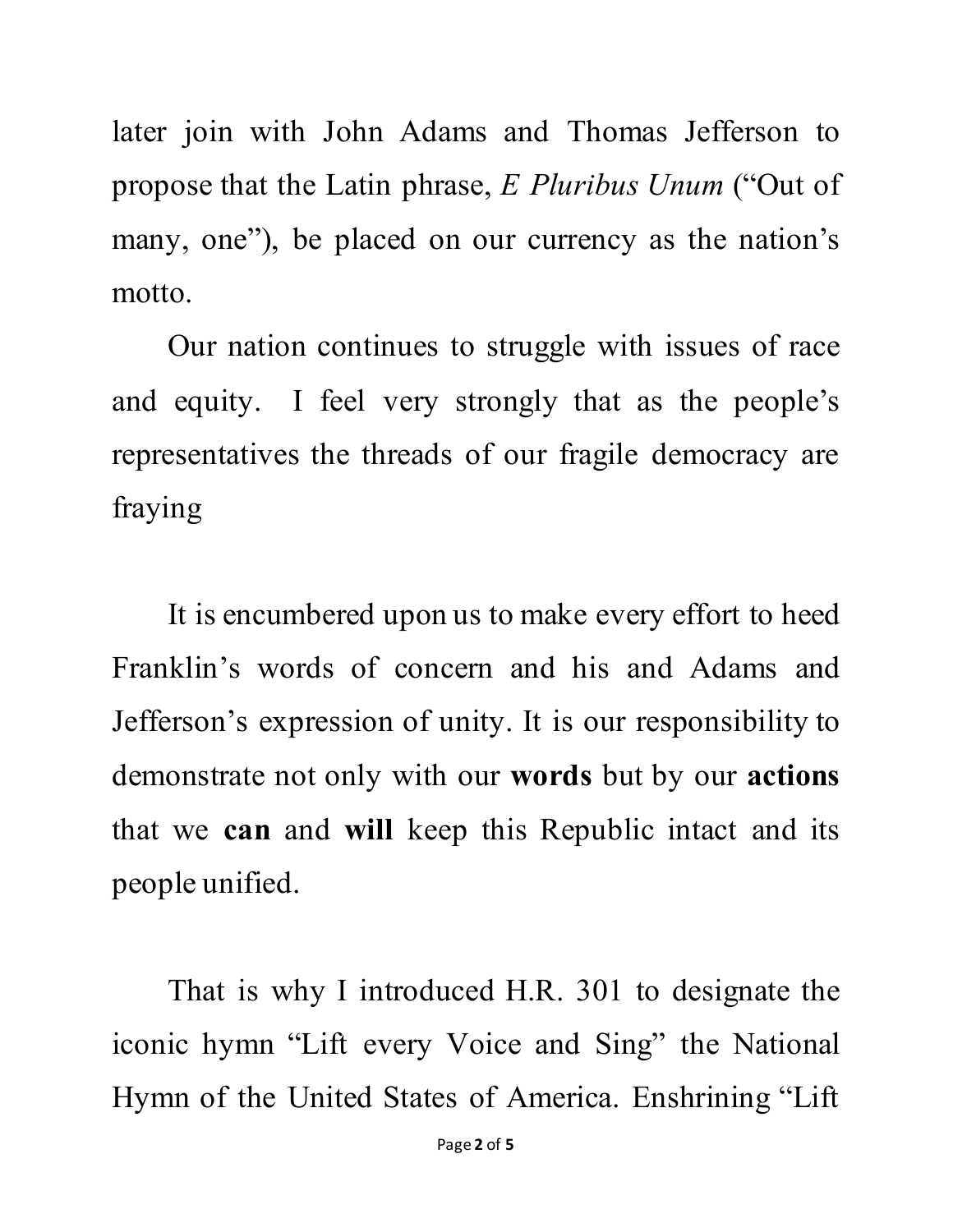later join with John Adams and Thomas Jefferson to propose that the Latin phrase, *E Pluribus Unum* ("Out of many, one"), be placed on our currency as the nation's motto.

Our nation continues to struggle with issues of race and equity. I feel very strongly that as the people's representatives the threads of our fragile democracy are fraying

It is encumbered upon us to make every effort to heed Franklin's words of concern and his and Adams and Jefferson's expression of unity. It is our responsibility to demonstrate not only with our **words** but by our **actions** that we **can** and **will** keep this Republic intact and its people unified.

That is why I introduced H.R. 301 to designate the iconic hymn "Lift every Voice and Sing" the National Hymn of the United States of America. Enshrining "Lift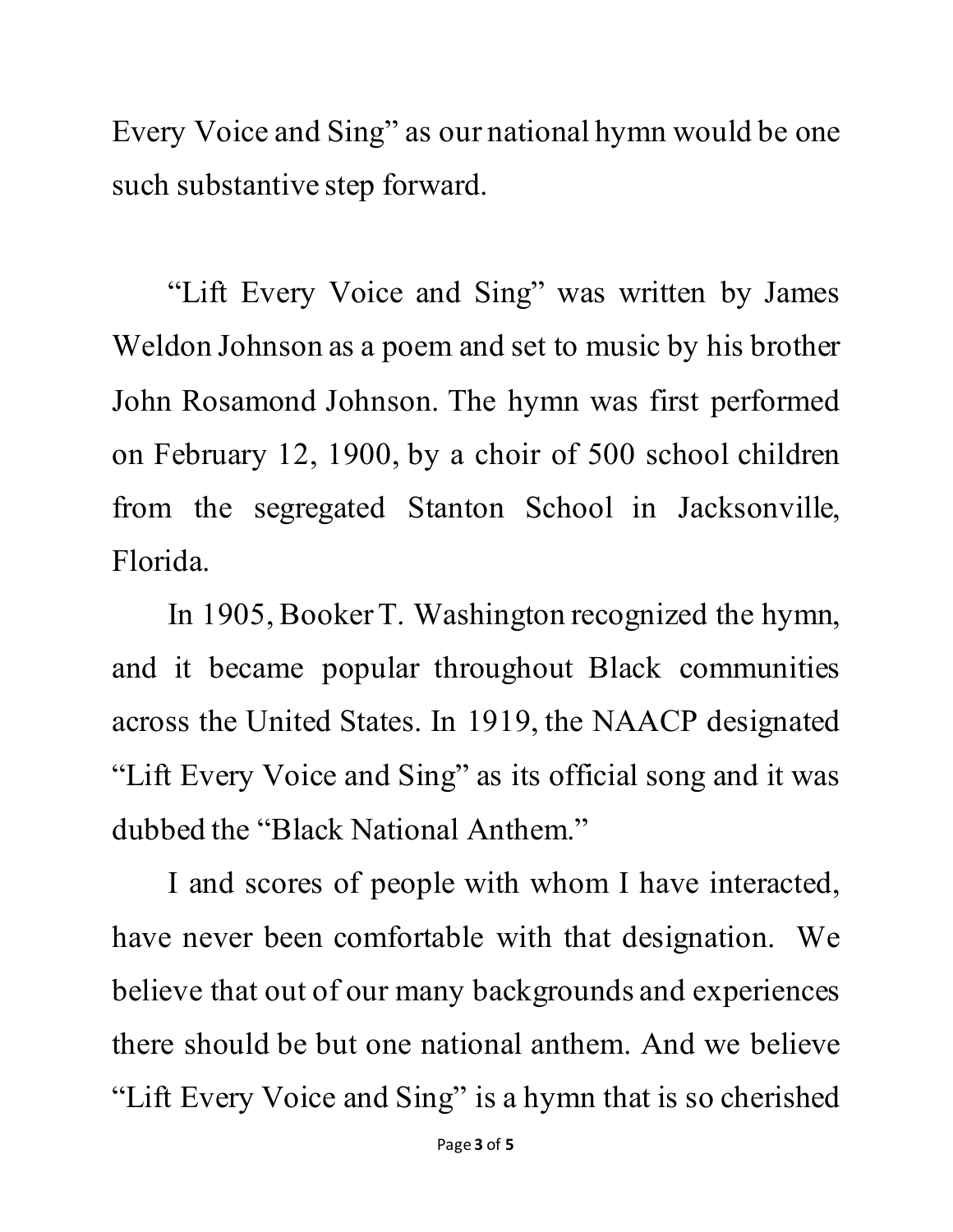Every Voice and Sing" as our national hymn would be one such substantive step forward.

"Lift Every Voice and Sing" was written by James Weldon Johnson as a poem and set to music by his brother John Rosamond Johnson. The hymn was first performed on February 12, 1900, by a choir of 500 school children from the segregated Stanton School in Jacksonville, Florida.

In 1905, Booker T. Washington recognized the hymn, and it became popular throughout Black communities across the United States. In 1919, the NAACP designated "Lift Every Voice and Sing" as its official song and it was dubbed the "Black National Anthem."

I and scores of people with whom I have interacted, have never been comfortable with that designation. We believe that out of our many backgrounds and experiences there should be but one national anthem. And we believe "Lift Every Voice and Sing" is a hymn that is so cherished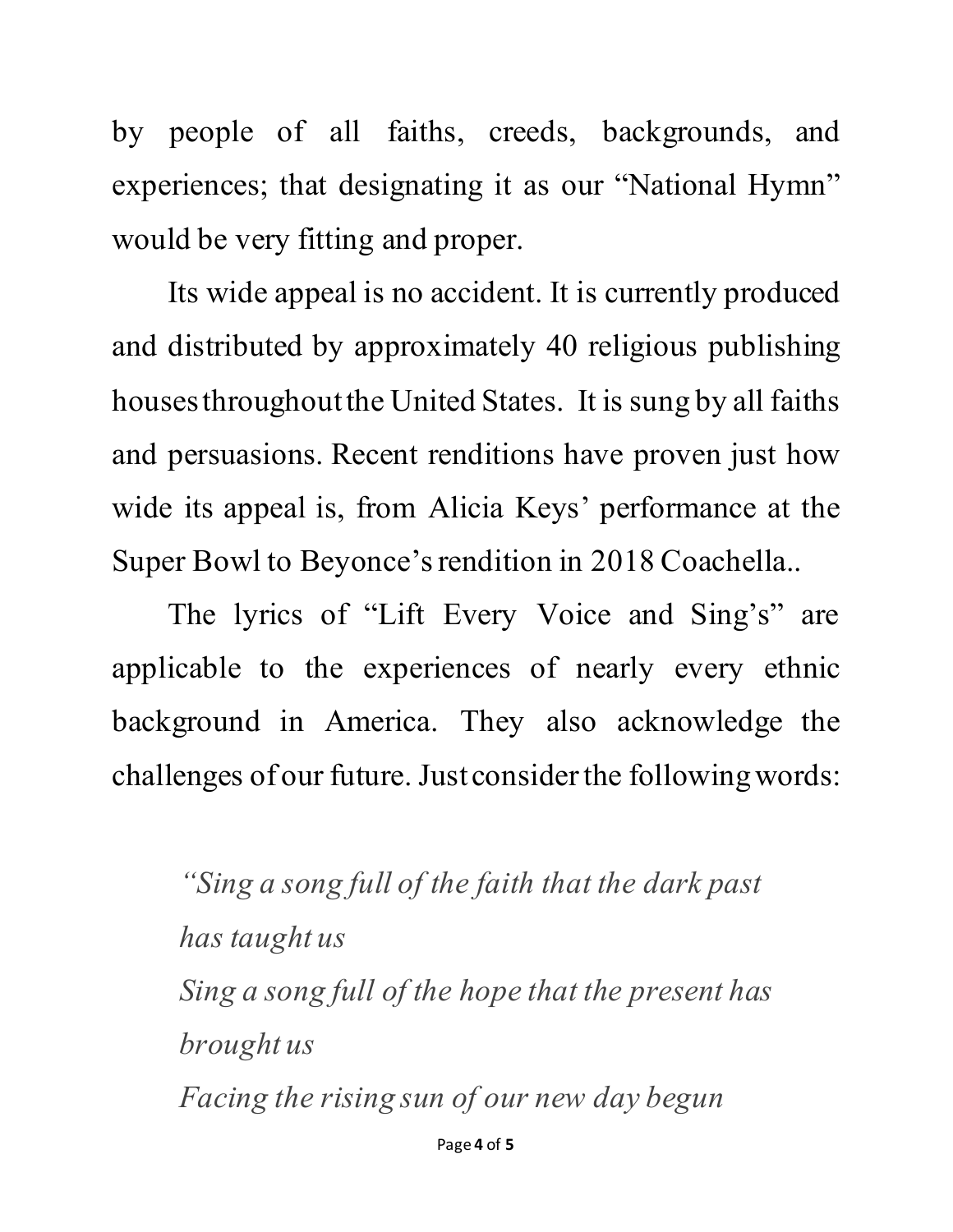by people of all faiths, creeds, backgrounds, and experiences; that designating it as our "National Hymn" would be very fitting and proper.

Its wide appeal is no accident. It is currently produced and distributed by approximately 40 religious publishing houses throughout the United States. It is sung by all faiths and persuasions. Recent renditions have proven just how wide its appeal is, from Alicia Keys' performance at the Super Bowl to Beyonce's rendition in 2018 Coachella..

The lyrics of "Lift Every Voice and Sing's" are applicable to the experiences of nearly every ethnic background in America. They also acknowledge the challenges of our future. Just consider the followingwords:

*"Sing a song full of the faith that the dark past has taught us Sing a song full of the hope that the present has brought us Facing the rising sun of our new day begun*